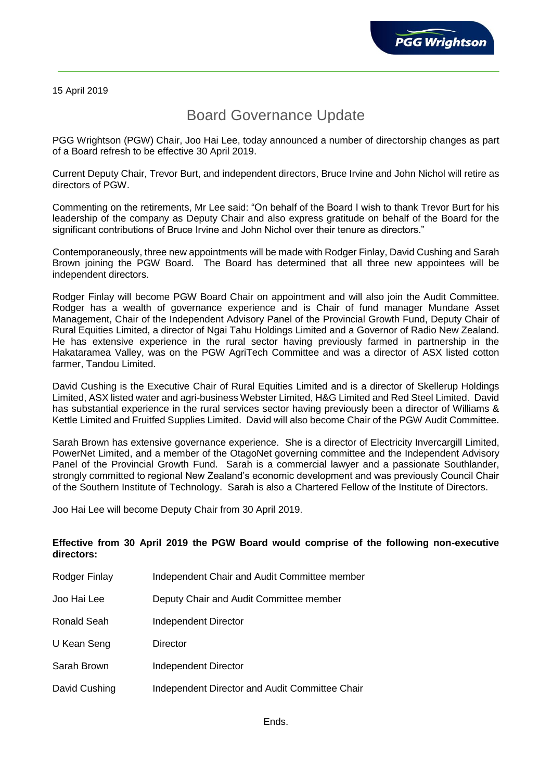15 April 2019

## Board Governance Update

PGG Wrightson (PGW) Chair, Joo Hai Lee, today announced a number of directorship changes as part of a Board refresh to be effective 30 April 2019.

Current Deputy Chair, Trevor Burt, and independent directors, Bruce Irvine and John Nichol will retire as directors of PGW.

Commenting on the retirements, Mr Lee said: "On behalf of the Board I wish to thank Trevor Burt for his leadership of the company as Deputy Chair and also express gratitude on behalf of the Board for the significant contributions of Bruce Irvine and John Nichol over their tenure as directors."

Contemporaneously, three new appointments will be made with Rodger Finlay, David Cushing and Sarah Brown joining the PGW Board. The Board has determined that all three new appointees will be independent directors.

Rodger Finlay will become PGW Board Chair on appointment and will also join the Audit Committee. Rodger has a wealth of governance experience and is Chair of fund manager Mundane Asset Management, Chair of the Independent Advisory Panel of the Provincial Growth Fund, Deputy Chair of Rural Equities Limited, a director of Ngai Tahu Holdings Limited and a Governor of Radio New Zealand. He has extensive experience in the rural sector having previously farmed in partnership in the Hakataramea Valley, was on the PGW AgriTech Committee and was a director of ASX listed cotton farmer, Tandou Limited.

David Cushing is the Executive Chair of Rural Equities Limited and is a director of Skellerup Holdings Limited, ASX listed water and agri-business Webster Limited, H&G Limited and Red Steel Limited. David has substantial experience in the rural services sector having previously been a director of Williams & Kettle Limited and Fruitfed Supplies Limited. David will also become Chair of the PGW Audit Committee.

Sarah Brown has extensive governance experience. She is a director of Electricity Invercargill Limited, PowerNet Limited, and a member of the OtagoNet governing committee and the Independent Advisory Panel of the Provincial Growth Fund. Sarah is a commercial lawyer and a passionate Southlander, strongly committed to regional New Zealand's economic development and was previously Council Chair of the Southern Institute of Technology. Sarah is also a Chartered Fellow of the Institute of Directors.

Joo Hai Lee will become Deputy Chair from 30 April 2019.

## **Effective from 30 April 2019 the PGW Board would comprise of the following non-executive directors:**

| Rodger Finlay | Independent Chair and Audit Committee member   |
|---------------|------------------------------------------------|
| Joo Hai Lee   | Deputy Chair and Audit Committee member        |
| Ronald Seah   | Independent Director                           |
| U Kean Seng   | Director                                       |
| Sarah Brown   | Independent Director                           |
| David Cushing | Independent Director and Audit Committee Chair |